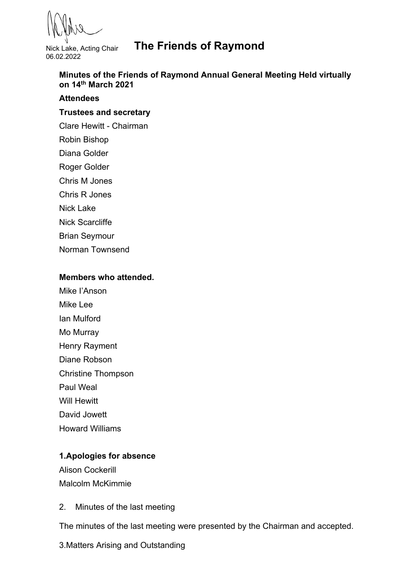Nick Lake, Acting Chair 06.02.2022

# **The Friends of Raymond**

**Minutes of the Friends of Raymond Annual General Meeting Held virtually on 14th March 2021** 

#### **Attendees**

## **Trustees and secretary**

Clare Hewitt - Chairman

- Robin Bishop
- Diana Golder
- Roger Golder
- Chris M Jones
- Chris R Jones
- Nick Lake
- Nick Scarcliffe
- Brian Seymour
- Norman Townsend

#### **Members who attended.**

- Mike I'Anson
- Mike Lee
- Ian Mulford
- Mo Murray
- Henry Rayment
- Diane Robson
- Christine Thompson
- Paul Weal
- Will Hewitt
- David Jowett
- Howard Williams

## **1.Apologies for absence**

Alison Cockerill Malcolm McKimmie

2. Minutes of the last meeting

The minutes of the last meeting were presented by the Chairman and accepted.

3.Matters Arising and Outstanding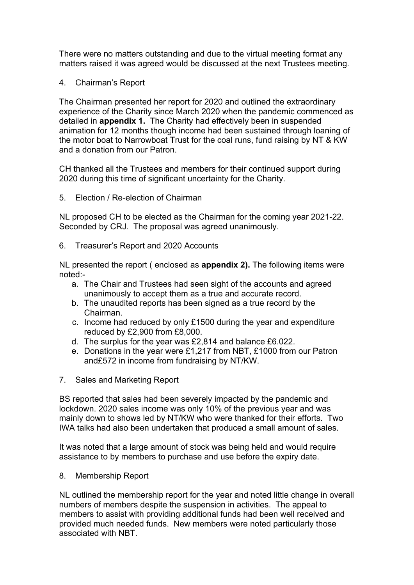There were no matters outstanding and due to the virtual meeting format any matters raised it was agreed would be discussed at the next Trustees meeting.

4. Chairman's Report

The Chairman presented her report for 2020 and outlined the extraordinary experience of the Charity since March 2020 when the pandemic commenced as detailed in **appendix 1.** The Charity had effectively been in suspended animation for 12 months though income had been sustained through loaning of the motor boat to Narrowboat Trust for the coal runs, fund raising by NT & KW and a donation from our Patron.

CH thanked all the Trustees and members for their continued support during 2020 during this time of significant uncertainty for the Charity.

5. Election / Re-election of Chairman

NL proposed CH to be elected as the Chairman for the coming year 2021-22. Seconded by CRJ. The proposal was agreed unanimously.

6. Treasurer's Report and 2020 Accounts

NL presented the report ( enclosed as **appendix 2).** The following items were noted:-

- a. The Chair and Trustees had seen sight of the accounts and agreed unanimously to accept them as a true and accurate record.
- b. The unaudited reports has been signed as a true record by the Chairman.
- c. Income had reduced by only £1500 during the year and expenditure reduced by £2,900 from £8,000.
- d. The surplus for the year was £2,814 and balance £6.022.
- e. Donations in the year were £1,217 from NBT, £1000 from our Patron and£572 in income from fundraising by NT/KW.
- 7. Sales and Marketing Report

BS reported that sales had been severely impacted by the pandemic and lockdown. 2020 sales income was only 10% of the previous year and was mainly down to shows led by NT/KW who were thanked for their efforts. Two IWA talks had also been undertaken that produced a small amount of sales.

It was noted that a large amount of stock was being held and would require assistance to by members to purchase and use before the expiry date.

8. Membership Report

NL outlined the membership report for the year and noted little change in overall numbers of members despite the suspension in activities. The appeal to members to assist with providing additional funds had been well received and provided much needed funds. New members were noted particularly those associated with NBT.